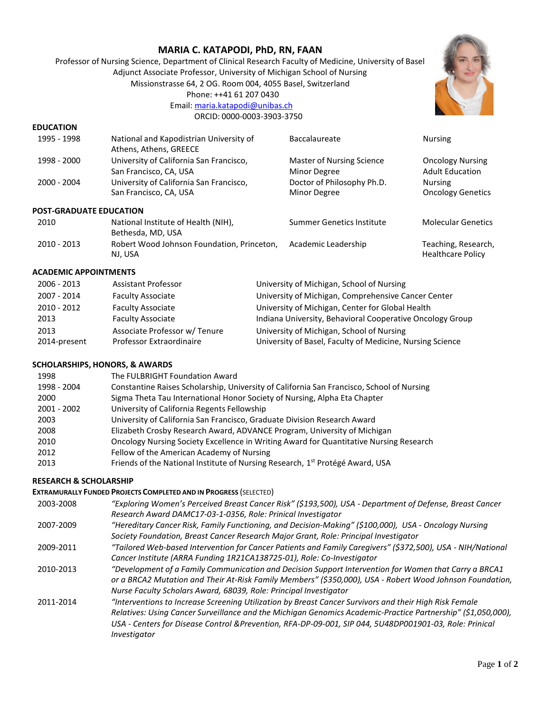# **MARIA C. KATAPODI, PhD, RN, FAAN**

Professor of Nursing Science, Department of Clinical Research Faculty of Medicine, University of Basel Adjunct Associate Professor, University of Michigan School of Nursing Missionstrasse 64, 2 OG. Room 004, 4055 Basel, Switzerland Phone: ++41 61 207 0430 Email: [maria.katapodi@unibas.ch](mailto:maria.katapodi@unibas.ch)



### **EDUCATION**

| 1995 - 1998                    | National and Kapodistrian University of<br>Athens, Athens, GREECE | Baccalaureate                                    | <b>Nursing</b>                                    |
|--------------------------------|-------------------------------------------------------------------|--------------------------------------------------|---------------------------------------------------|
| 1998 - 2000                    | University of California San Francisco,<br>San Francisco, CA, USA | <b>Master of Nursing Science</b><br>Minor Degree | <b>Oncology Nursing</b><br><b>Adult Education</b> |
| 2000 - 2004                    | University of California San Francisco,<br>San Francisco, CA, USA | Doctor of Philosophy Ph.D.<br>Minor Degree       | <b>Nursing</b><br><b>Oncology Genetics</b>        |
| <b>POST-GRADUATE EDUCATION</b> |                                                                   |                                                  |                                                   |
| 2010                           | National Institute of Health (NIH),<br>Bethesda, MD, USA          | <b>Summer Genetics Institute</b>                 | <b>Molecular Genetics</b>                         |
| 2010 - 2013                    | Robert Wood Johnson Foundation, Princeton,<br>NJ. USA             | Academic Leadership                              | Teaching, Research,<br><b>Healthcare Policy</b>   |

## **ACADEMIC APPOINTMENTS**

| 2006 - 2013          | <b>Assistant Professor</b>                                | University of Michigan, School of Nursing                                                              |
|----------------------|-----------------------------------------------------------|--------------------------------------------------------------------------------------------------------|
| 2007 - 2014          | <b>Faculty Associate</b>                                  | University of Michigan, Comprehensive Cancer Center                                                    |
| 2010 - 2012          | <b>Faculty Associate</b>                                  | University of Michigan, Center for Global Health                                                       |
| 2013                 | <b>Faculty Associate</b>                                  | Indiana University, Behavioral Cooperative Oncology Group                                              |
| 2013<br>2014-present | Associate Professor w/ Tenure<br>Professor Extraordinaire | University of Michigan, School of Nursing<br>University of Basel, Faculty of Medicine, Nursing Science |

### **SCHOLARSHIPS, HONORS, & AWARDS**

| 1998<br>1998 - 2004 | The FULBRIGHT Foundation Award<br>Constantine Raises Scholarship, University of California San Francisco, School of Nursing |
|---------------------|-----------------------------------------------------------------------------------------------------------------------------|
| 2000                | Sigma Theta Tau International Honor Society of Nursing, Alpha Eta Chapter                                                   |
| 2001 - 2002         | University of California Regents Fellowship                                                                                 |
| 2003                | University of California San Francisco, Graduate Division Research Award                                                    |
| 2008                | Elizabeth Crosby Research Award, ADVANCE Program, University of Michigan                                                    |
| 2010                | Oncology Nursing Society Excellence in Writing Award for Quantitative Nursing Research                                      |
| 2012                | Fellow of the American Academy of Nursing                                                                                   |
| 2013                | Friends of the National Institute of Nursing Research, 1 <sup>st</sup> Protégé Award, USA                                   |

### **RESEARCH & SCHOLARSHIP**

## **EXTRAMURALLY FUNDED PROJECTS COMPLETED AND IN PROGRESS** (SELECTED)

| 2003-2008 | "Exploring Women's Perceived Breast Cancer Risk" (\$193,500), USA - Department of Defense, Breast Cancer     |
|-----------|--------------------------------------------------------------------------------------------------------------|
|           | Research Award DAMC17-03-1-0356, Role: Prinical Investigator                                                 |
| 2007-2009 | "Hereditary Cancer Risk, Family Functioning, and Decision-Making" (\$100,000), USA - Oncology Nursing        |
|           | Society Foundation, Breast Cancer Research Major Grant, Role: Principal Investigator                         |
| 2009-2011 | "Tailored Web-based Intervention for Cancer Patients and Family Caregivers" (\$372,500), USA - NIH/National  |
|           | Cancer Institute (ARRA Funding 1R21CA138725-01), Role: Co-Investigator                                       |
| 2010-2013 | "Development of a Family Communication and Decision Support Intervention for Women that Carry a BRCA1        |
|           | or a BRCA2 Mutation and Their At-Risk Family Members" (\$350,000), USA - Robert Wood Johnson Foundation,     |
|           | Nurse Faculty Scholars Award, 68039, Role: Principal Investigator                                            |
| 2011-2014 | "Interventions to Increase Screening Utilization by Breast Cancer Survivors and their High Risk Female       |
|           | Relatives: Using Cancer Surveillance and the Michigan Genomics Academic-Practice Partnership" (\$1,050,000), |
|           | USA - Centers for Disease Control & Prevention, RFA-DP-09-001, SIP 044, 5U48DP001901-03, Role: Prinical      |
|           | Investigator                                                                                                 |